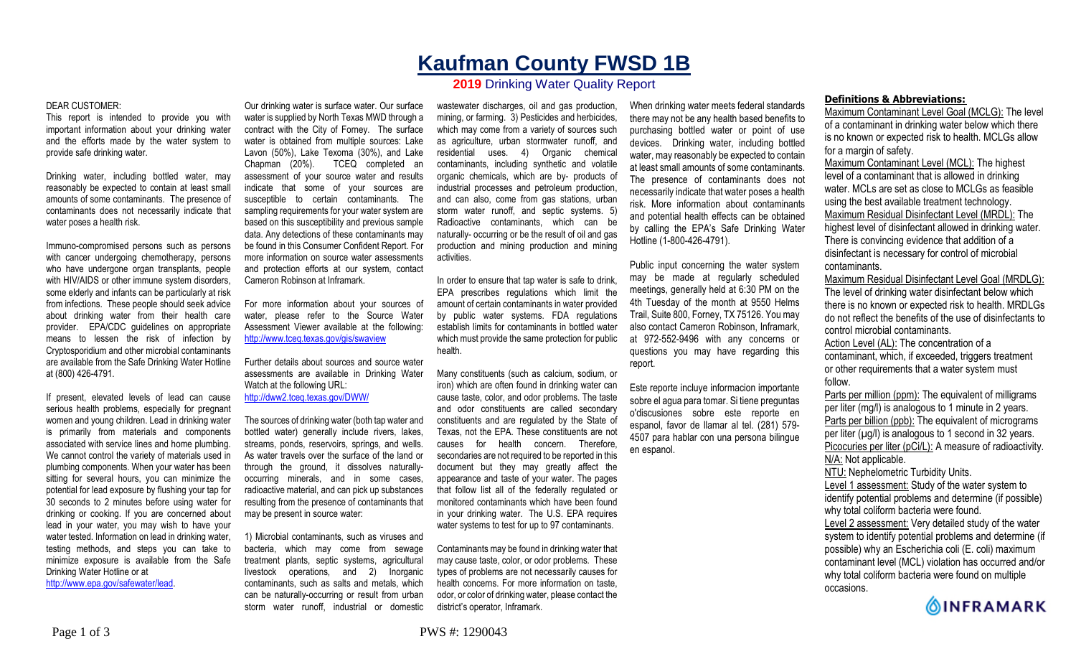As water travels over the surface of the land or through the ground, it dissolves naturallyoccurring minerals, and in some cases, radioactive material, and can pick up substances resulting from the presence of contaminants that may be present in source water:

Cameron Robinson at Inframark.

http://www.tceq.texas.gov/gis/swaview

Watch at the following URL: http://dww2.tceq.texas.gov/DWW/

For more information about your sources of water, please refer to the Source Water Assessment Viewer available at the following:

Further details about sources and source water assessments are available in Drinking Water

The sources of drinking water (both tap water and bottled water) generally include rivers, lakes, streams, ponds, reservoirs, springs, and wells.

1) Microbial contaminants, such as viruses and bacteria, which may come from sewage treatment plants, septic systems, agricultural livestock operations, and 2) Inorganic contaminants, such as salts and metals, which can be naturally-occurring or result from urban storm water runoff, industrial or domestic

Our drinking water is surface water. Our surface water is supplied by North Texas MWD through a contract with the City of Forney. The surface water is obtained from multiple sources: Lake Lavon (50%), Lake Texoma (30%), and Lake Chapman (20%). TCEQ completed an assessment of your source water and results indicate that some of your sources are susceptible to certain contaminants. The sampling requirements for your water system are based on this susceptibility and previous sample data. Any detections of these contaminants may be found in this Consumer Confident Report. For more information on source water assessments and protection efforts at our system, contact wastewater discharges, oil and gas production, mining, or farming. 3) Pesticides and herbicides, which may come from a variety of sources such as agriculture, urban stormwater runoff, and residential uses. 4) Organic chemical contaminants, including synthetic and volatile organic chemicals, which are by- products of industrial processes and petroleum production, and can also, come from gas stations, urban storm water runoff, and septic systems. 5) Radioactive contaminants, which can be naturally- occurring or be the result of oil and gas production and mining production and mining activities.

> In order to ensure that tap water is safe to drink, EPA prescribes regulations which limit the amount of certain contaminants in water provided by public water systems. FDA regulations establish limits for contaminants in bottled water which must provide the same protection for public health.

> Many constituents (such as calcium, sodium, or iron) which are often found in drinking water can cause taste, color, and odor problems. The taste and odor constituents are called secondary constituents and are regulated by the State of Texas, not the EPA. These constituents are not causes for health concern. Therefore, secondaries are not required to be reported in this document but they may greatly affect the appearance and taste of your water. The pages that follow list all of the federally regulated or monitored contaminants which have been found in your drinking water. The U.S. EPA requires water systems to test for up to 97 contaminants.

> Contaminants may be found in drinking water that may cause taste, color, or odor problems. These types of problems are not necessarily causes for health concerns. For more information on taste, odor, or color of drinking water, please contact the district's operator, Inframark.

When drinking water meets federal standards there may not be any health based benefits to purchasing bottled water or point of use devices. Drinking water, including bottled water, may reasonably be expected to contain at least small amounts of some contaminants. The presence of contaminants does not necessarily indicate that water poses a health risk. More information about contaminants and potential health effects can be obtained by calling the EPA's Safe Drinking Water Hotline (1-800-426-4791).

Public input concerning the water system may be made at regularly scheduled meetings, generally held at 6:30 PM on the 4th Tuesday of the month at 9550 Helms Trail, Suite 800, Forney, TX 75126. You may also contact Cameron Robinson, Inframark, at 972-552-9496 with any concerns or questions you may have regarding this report.

Este reporte incluye informacion importante sobre el agua para tomar. Si tiene preguntas o'discusiones sobre este reporte en espanol, favor de llamar al tel. (281) 579- 4507 para hablar con una persona bilingue en espanol.

# **Definitions & Abbreviations:**

Maximum Contaminant Level Goal (MCLG): The level of a contaminant in drinking water below which there is no known or expected risk to health. MCLGs allow for a margin of safety.

Maximum Contaminant Level (MCL): The highest level of a contaminant that is allowed in drinking water. MCLs are set as close to MCLGs as feasible using the best available treatment technology. Maximum Residual Disinfectant Level (MRDL): The highest level of disinfectant allowed in drinking water. There is convincing evidence that addition of a disinfectant is necessary for control of microbial contaminants.

Maximum Residual Disinfectant Level Goal (MRDLG): The level of drinking water disinfectant below which there is no known or expected risk to health. MRDLGs do not reflect the benefits of the use of disinfectants to control microbial contaminants.

Action Level (AL): The concentration of a contaminant, which, if exceeded, triggers treatment or other requirements that a water system must follow.

Parts per million (ppm): The equivalent of milligrams per liter (mg/l) is analogous to 1 minute in 2 years. Parts per billion (ppb): The equivalent of micrograms per liter  $(\mu g/l)$  is analogous to 1 second in 32 years. Picocuries per liter (pCi/L): A measure of radioactivity. N/A: Not applicable. NTU: Nephelometric Turbidity Units. Level 1 assessment: Study of the water system to

identify potential problems and determine (if possible) why total coliform bacteria were found.

Level 2 assessment: Very detailed study of the water system to identify potential problems and determine (if possible) why an Escherichia coli (E. coli) maximum contaminant level (MCL) violation has occurred and/or why total coliform bacteria were found on multiple occasions.



# **Kaufman County FWSD 1B 2019** Drinking Water Quality Report

### DEAR CUSTOMER:

This report is intended to provide you with important information about your drinking water and the efforts made by the water system to provide safe drinking water.

Drinking water, including bottled water, may reasonably be expected to contain at least small amounts of some contaminants. The presence of contaminants does not necessarily indicate that water poses a health risk.

Immuno-compromised persons such as persons with cancer undergoing chemotherapy, persons who have undergone organ transplants, people with HIV/AIDS or other immune system disorders, some elderly and infants can be particularly at risk from infections. These people should seek advice about drinking water from their health care provider. EPA/CDC guidelines on appropriate means to lessen the risk of infection by Cryptosporidium and other microbial contaminants are available from the Safe Drinking Water Hotline at (800) 426-4791.

If present, elevated levels of lead can cause serious health problems, especially for pregnant women and young children. Lead in drinking water is primarily from materials and components associated with service lines and home plumbing. We cannot control the variety of materials used in plumbing components. When your water has been sitting for several hours, you can minimize the potential for lead exposure by flushing your tap for 30 seconds to 2 minutes before using water for drinking or cooking. If you are concerned about lead in your water, you may wish to have your water tested. Information on lead in drinking water, testing methods, and steps you can take to minimize exposure is available from the Safe Drinking Water Hotline or at http://www.epa.gov/safewater/lead.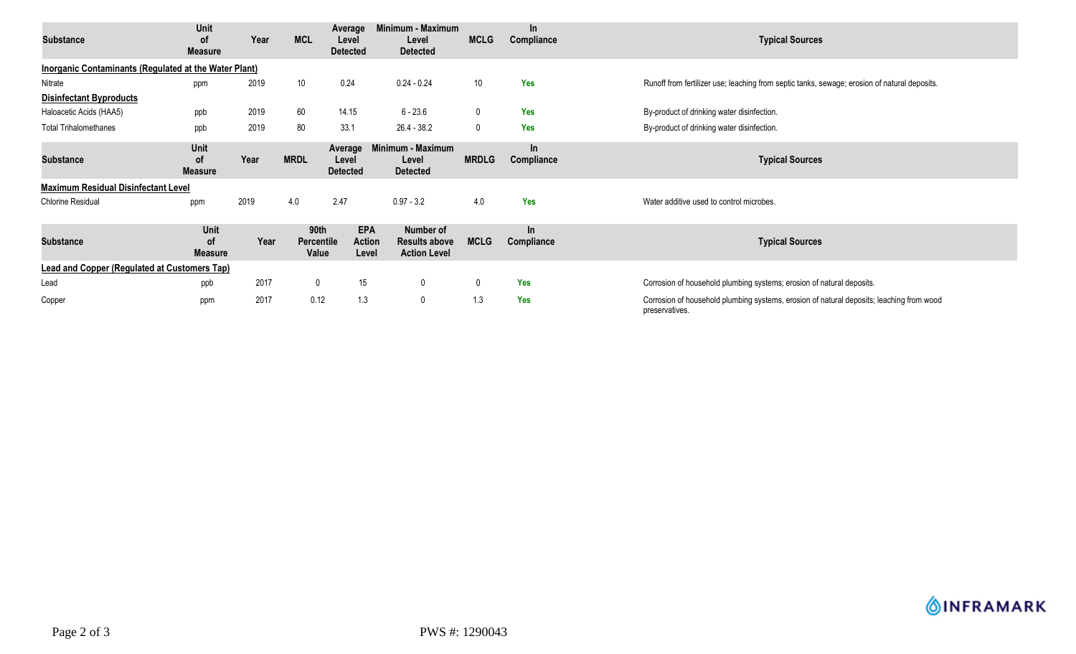| <b>Substance</b>                                      | Unit<br>οf<br><b>Measure</b>        | Year | <b>MCL</b>                  | Average<br>Level<br><b>Detected</b>  | Minimum - Maximum<br>Level<br><b>Detected</b>            | <b>MCLG</b>  | In<br>Compliance    | <b>Typical Sources</b>                                                                                     |  |
|-------------------------------------------------------|-------------------------------------|------|-----------------------------|--------------------------------------|----------------------------------------------------------|--------------|---------------------|------------------------------------------------------------------------------------------------------------|--|
| Inorganic Contaminants (Regulated at the Water Plant) |                                     |      |                             |                                      |                                                          |              |                     |                                                                                                            |  |
| Nitrate                                               | ppm                                 | 2019 | 10 <sup>°</sup>             | 0.24                                 | $0.24 - 0.24$                                            | 10           | Yes                 | Runoff from fertilizer use; leaching from septic tanks, sewage; erosion of natural deposits.               |  |
| <b>Disinfectant Byproducts</b>                        |                                     |      |                             |                                      |                                                          |              |                     |                                                                                                            |  |
| Haloacetic Acids (HAA5)                               | ppb                                 | 2019 | 60                          | 14.15                                | $6 - 23.6$                                               | $\mathbf 0$  | Yes                 | By-product of drinking water disinfection.                                                                 |  |
| <b>Total Trihalomethanes</b>                          | ppb                                 | 2019 | 80                          | 33.1                                 | 26.4 - 38.2                                              | $\mathbf 0$  | <b>Yes</b>          | By-product of drinking water disinfection.                                                                 |  |
| <b>Substance</b>                                      | Unit<br><b>of</b><br><b>Measure</b> | Year | <b>MRDL</b>                 | Average<br>Level<br><b>Detected</b>  | Minimum - Maximum<br>Level<br><b>Detected</b>            | <b>MRDLG</b> | In<br>Compliance    | <b>Typical Sources</b>                                                                                     |  |
| <b>Maximum Residual Disinfectant Level</b>            |                                     |      |                             |                                      |                                                          |              |                     |                                                                                                            |  |
| <b>Chlorine Residual</b>                              | ppm                                 | 2019 | 4.0                         | 2.47                                 | $0.97 - 3.2$                                             | 4.0          | <b>Yes</b>          | Water additive used to control microbes.                                                                   |  |
| <b>Substance</b>                                      | Unit<br>οf<br><b>Measure</b>        | Year | 90th<br>Percentile<br>Value | <b>EPA</b><br><b>Action</b><br>Level | Number of<br><b>Results above</b><br><b>Action Level</b> | <b>MCLG</b>  | $\ln$<br>Compliance | <b>Typical Sources</b>                                                                                     |  |
| <b>Lead and Copper (Regulated at Customers Tap)</b>   |                                     |      |                             |                                      |                                                          |              |                     |                                                                                                            |  |
| Lead                                                  | ppb                                 | 2017 | $\mathbf 0$                 | 15                                   | $\mathbf 0$                                              | $\mathbf{0}$ | Yes                 | Corrosion of household plumbing systems; erosion of natural deposits.                                      |  |
| Copper                                                | ppm                                 | 2017 | 0.12                        | 1.3                                  | $\mathbf 0$                                              | 1.3          | Yes                 | Corrosion of household plumbing systems, erosion of natural deposits; leaching from wood<br>preservatives. |  |